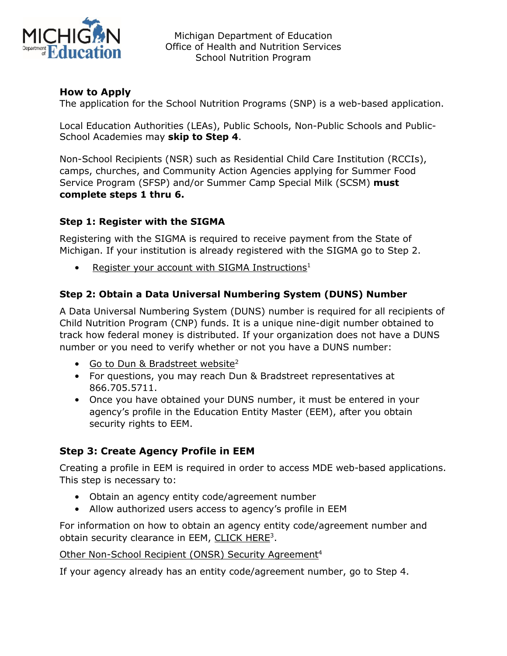

Michigan Department of Education Office of Health and Nutrition Services School Nutrition Program

## **How to Apply**

The application for the School Nutrition Programs (SNP) is a web-based application.

Local Education Authorities (LEAs), Public Schools, Non-Public Schools and Public-School Academies may **skip to Step 4**.

Non-School Recipients (NSR) such as Residential Child Care Institution (RCCIs), camps, churches, and Community Action Agencies applying for Summer Food Service Program (SFSP) and/or Summer Camp Special Milk (SCSM) **must complete steps 1 thru 6.**

## **Step 1: Register with the SIGMA**

Registering with the SIGMA is required to receive payment from the State of Michigan. If your institution is already registered with the SIGMA go to Step 2.

• [Register your account with SIGMA Instructions](https://view.officeapps.live.com/op/view.aspx?src=https%3A%2F%2Fwww.michigan.gov%2Fdocuments%2Fbudget%2FSIGMA_VSS_Register_New_Account_603368_7.docx)<sup>1</sup>

## **Step 2: Obtain a Data Universal Numbering System (DUNS) Number**

A Data Universal Numbering System (DUNS) number is required for all recipients of Child Nutrition Program (CNP) funds. It is a unique nine-digit number obtained to track how federal money is distributed. If your organization does not have a DUNS number or you need to verify whether or not you have a DUNS number:

- [Go to Dun & Bradstreet website](http://fedgov.dnb.com/webform/)<sup>2</sup>
- For questions, you may reach Dun & Bradstreet representatives at 866.705.5711.
- Once you have obtained your DUNS number, it must be entered in your agency's profile in the Education Entity Master (EEM), after you obtain security rights to EEM.

# **Step 3: Create Agency Profile in EEM**

Creating a profile in EEM is required in order to access MDE web-based applications. This step is necessary to:

- Obtain an agency entity code/agreement number
- Allow authorized users access to agency's profile in EEM

For information on how to obtain an agency entity code/agreement number and obtain security clearance in EEM, [CLICK HERE3](https://www.michigan.gov/documents/mde/Create_Agency_Profile_in_EEM_640445_7.pdf).

#### [Other Non-School Recipient \(ONSR\) Security Agreement](http://www.michigan.gov/documents/cepi/EEM_ONSR_security_agreement_408617_7.doc)<sup>4</sup>

If your agency already has an entity code/agreement number, go to Step 4.